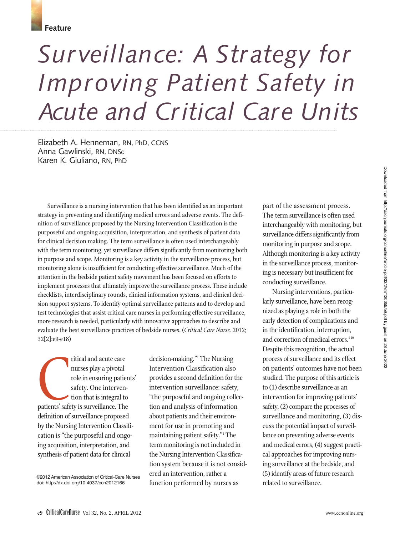

# *Surveillance: A Strategy for Improving Patient Safety in Acute and Critical Care Units*

Elizabeth A. Henneman, RN, PhD, CCNS Anna Gawlinski, RN, DNSc Karen K. Giuliano, RN, PhD

Surveillance is a nursing intervention that has been identified as an important strategy in preventing and identifying medical errors and adverse events. The definition of surveillance proposed by the Nursing Intervention Classification is the purposeful and ongoing acquisition, interpretation, and synthesis of patient data for clinical decision making. The term surveillance is often used interchangeably with the term monitoring, yet surveillance differs significantly from monitoring both in purpose and scope. Monitoring is a key activity in the surveillance process, but monitoring alone is insufficient for conducting effective surveillance. Much of the attention in the bedside patient safety movement has been focused on efforts to implement processes that ultimately improve the surveillance process. These include checklists, interdisciplinary rounds, clinical information systems, and clinical decision support systems. To identify optimal surveillance patterns and to develop and test technologies that assist critical care nurses in performing effective surveillance, more research is needed, particularly with innovative approaches to describe and evaluate the best surveillance practices of bedside nurses. (*Critical Care Nurse.* 2012; 32[2]:e9-e18)

The patient and acute care<br>
in ensuring patient safety. One interven-<br>
tion that is integral to<br>
patients' safety is surveillance. The<br>
definition of surveillance are area and ritical and acute care nurses play a pivotal role in ensuring patients' safety. One intervention that is integral to definition of surveillance proposed by the Nursing Intervention Classification is "the purposeful and ongoing acquisition, interpretation, and synthesis of patient data for clinical

©2012 American Association of Critical-Care Nurses doi: http://dx.doi.org/10.4037/ccn2012166

decision-making."1 The Nursing Intervention Classification also provides a second definition for the intervention surveillance: safety, "the purposeful and ongoing collection and analysis of information about patients and their environment for use in promoting and maintaining patient safety."1 The term monitoring is not included in the Nursing Intervention Classification system because it is not considered an intervention, rather a function performed by nurses as

part of the assessment process. The term surveillance is often used interchangeably with monitoring, but surveillance differs significantly from monitoring in purpose and scope. Although monitoring is a key activity in the surveillance process, monitoring is necessary but insufficient for conducting surveillance.

Nursing interventions, particularly surveillance, have been recognized as playing a role in both the early detection of complications and in the identification, interruption, and correction of medical errors.<sup>1-10</sup> Despite this recognition, the actual process of surveillance and its effect on patients' outcomes have not been studied. The purpose of this article is to (1) describe surveillance as an intervention for improving patients' safety, (2) compare the processes of surveillance and monitoring, (3) discuss the potential impact of surveillance on preventing adverse events and medical errors, (4) suggest practical approaches for improving nursing surveillance at the bedside, and (5) identify areas of future research related to surveillance.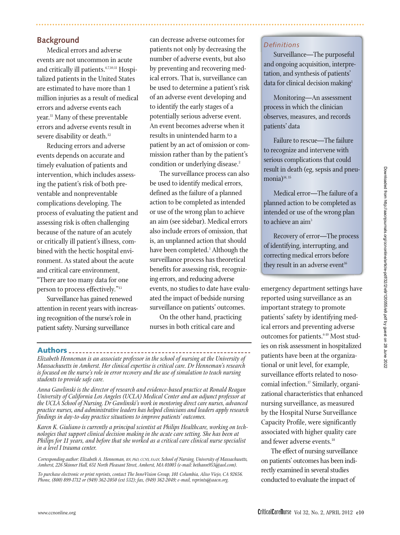# **Background**

Medical errors and adverse events are not uncommon in acute and critically ill patients.<sup>6,7,10,11</sup> Hospitalized patients in the United States are estimated to have more than 1 million injuries as a result of medical errors and adverse events each year.<sup>11</sup> Many of these preventable errors and adverse events result in severe disability or death.<sup>12</sup>

Reducing errors and adverse events depends on accurate and timely evaluation of patients and intervention, which includes assessing the patient's risk of both preventable and nonpreventable complications developing. The process of evaluating the patient and assessing risk is often challenging because of the nature of an acutely or critically ill patient's illness, combined with the hectic hospital environment. As stated about the acute and critical care environment,

"There are too many data for one person to process effectively."13

Surveillance has gained renewed attention in recent years with increasing recognition of the nurse's role in patient safety. Nursing surveillance

can decrease adverse outcomes for patients not only by decreasing the number of adverse events, but also by preventing and recovering medical errors. That is, surveillance can be used to determine a patient's risk of an adverse event developing and to identify the early stages of a potentially serious adverse event. An event becomes adverse when it results in unintended harm to a patient by an act of omission or commission rather than by the patient's condition or underlying disease.<sup>2</sup>

The surveillance process can also be used to identify medical errors, defined as the failure of a planned action to be completed as intended or use of the wrong plan to achieve an aim (see sidebar). Medical errors also include errors of omission, that is, an unplanned action that should have been completed.<sup>3</sup> Although the surveillance process has theoretical benefits for assessing risk, recognizing errors, and reducing adverse events, no studies to date have evaluated the impact of bedside nursing surveillance on patients' outcomes.

On the other hand, practicing nurses in both critical care and

#### **Authors**

*Elizabeth Henneman is an associate professor in the school of nursing at the University of Massachusetts in Amherst. Her clinical expertise is critical care. Dr Henneman's research is focused on the nurse's role in error recovery and the use of simulation to teach nursing students to provide safe care.*

*Anna Gawlinski is the director of research and evidence-based practice at Ronald Reagan University of California Los Angeles (UCLA) Medical Center and an adjunct professor at the UCLA School of Nursing. Dr Gawlinski's work in mentoring direct care nurses, advanced practice nurses, and administrative leaders has helped clinicians and leaders apply research findings in day-to-day practice situations to improve patients' outcomes.*

*Karen K. Giuliano is currently a principal scientist at Philips Healthcare, working on technologies that support clinical decision making in the acute care setting. She has been at Philips for 11 years, and before that she worked as a critical care clinical nurse specialist in a level I trauma center.* 

*Corresponding author: Elizabeth A. Henneman, RN, PhD, CCNS, FAAN, School of Nursing, University of Massachusetts, Amherst, 226 Skinner Hall, 651 North Pleasant Street, Amherst, MA 01003 (e-mail: bethann953@aol.com).*

*To purchase electronic or print reprints, contact The InnoVision Group, 101 Columbia, Aliso Viejo, CA 92656. Phone, (800) 899-1712 or (949) 362-2050 (ext 532); fax, (949) 362-2049; e-mail, reprints@aacn.org.*

#### *Definitions*

Surveillance—The purposeful and ongoing acquisition, interpretation, and synthesis of patients' data for clinical decision making<sup>1</sup>

Monitoring—An assessment process in which the clinician observes, measures, and records patients' data

Failure to rescue—The failure to recognize and intervene with serious complications that could result in death (eg, sepsis and pneumonia) $14, 15$ 

Medical error—The failure of a planned action to be completed as intended or use of the wrong plan to achieve an aim $^3$ 

Recovery of error—The process of identifying, interrupting, and correcting medical errors before they result in an adverse event $16$ 

emergency department settings have reported using surveillance as an important strategy to promote patients' safety by identifying medical errors and preventing adverse outcomes for patients.<sup>6-10</sup> Most studies on risk assessment in hospitalized patients have been at the organizational or unit level, for example, surveillance efforts related to nosocomial infection.<sup>17</sup> Similarly, organizational characteristics that enhanced nursing surveillance, as measured by the Hospital Nurse Surveillance Capacity Profile, were significantly associated with higher quality care and fewer adverse events.<sup>18</sup>

The effect of nursing surveillance on patients' outcomes has been indirectly examined in several studies conducted to evaluate the impact of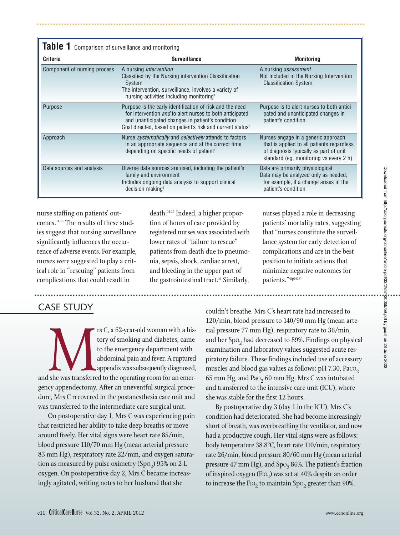| Table 1 Comparison of surveillance and monitoring |                                                                                                                                                                                                                                                           |                                                                                                                                                                       |  |
|---------------------------------------------------|-----------------------------------------------------------------------------------------------------------------------------------------------------------------------------------------------------------------------------------------------------------|-----------------------------------------------------------------------------------------------------------------------------------------------------------------------|--|
| <b>Criteria</b>                                   | <b>Surveillance</b>                                                                                                                                                                                                                                       | <b>Monitoring</b>                                                                                                                                                     |  |
| Component of nursing process                      | A nursing <i>intervention</i><br>Classified by the Nursing intervention Classification<br>System<br>The intervention, surveillance, involves a variety of<br>nursing activities including monitoring <sup>1</sup>                                         | A nursing <i>assessment</i><br>Not included in the Nursing Intervention<br><b>Classification System</b>                                                               |  |
| <b>Purpose</b>                                    | Purpose is the early identification of risk and the need<br>for intervention <i>and</i> to alert nurses to both anticipated<br>and unanticipated changes in patient's condition<br>Goal directed, based on patient's risk and current status <sup>1</sup> | Purpose is to alert nurses to both antici-<br>pated and unanticipated changes in<br>patient's condition                                                               |  |
| Approach                                          | Nurse <i>systematically</i> and <i>selectively</i> attends to factors<br>in an appropriate sequence and at the correct time<br>depending on specific needs of patient <sup>1</sup>                                                                        | Nurses engage in a generic approach<br>that is applied to all patients regardless<br>of diagnosis typically as part of unit<br>standard (eq. monitoring vs every 2 h) |  |
| Data sources and analysis                         | Diverse data sources are used, including the patient's<br>family and environment<br>Includes ongoing data analysis to support clinical<br>decision making <sup>1</sup>                                                                                    | Data are primarily physiological<br>Data may be analyzed only as needed;<br>for example, if a change arises in the<br>patient's condition                             |  |

nurse staffing on patients' outcomes.14,15 The results of these studies suggest that nursing surveillance significantly influences the occurrence of adverse events. For example, nurses were suggested to play a critical role in "rescuing" patients from complications that could result in

death.14,15 Indeed, a higher proportion of hours of care provided by registered nurses was associated with lower rates of "failure to rescue" patients from death due to pneumonia, sepsis, shock, cardiac arrest, and bleeding in the upper part of the gastrointestinal tract.<sup>14</sup> Similarly,

nurses played a role in decreasing patients' mortality rates, suggesting that "nurses constitute the surveillance system for early detection of complications and are in the best position to initiate actions that minimize negative outcomes for patients."4(p1617)

# CASE STUDY

rs C, a 62-year-old woman with a his-<br>tory of smoking and diabetes, came<br>to the emergency department with<br>abdominal pain and fever. A ruptured<br>appendix was subsequently diagnosed,<br>and she was transferred to the operating r tory of smoking and diabetes, came to the emergency department with abdominal pain and fever. A ruptured appendix was subsequently diagnosed, gency appendectomy. After an uneventful surgical procedure, Mrs C recovered in the postanesthesia care unit and was transferred to the intermediate care surgical unit.

On postoperative day 1, Mrs C was experiencing pain that restricted her ability to take deep breaths or move around freely. Her vital signs were heart rate 85/min, blood pressure 110/70 mm Hg (mean arterial pressure 83 mm Hg), respiratory rate 22/min, and oxygen saturation as measured by pulse oximetry (Spo<sub>2</sub>) 95% on 2 L oxygen. On postoperative day 2, Mrs C became increasingly agitated, writing notes to her husband that she

couldn't breathe. Mrs C's heart rate had increased to 120/min, blood pressure to 140/90 mm Hg (mean arterial pressure 77 mm Hg), respiratory rate to 36/min, and her Spo<sub>2</sub> had decreased to 89%. Findings on physical examination and laboratory values suggested acute respiratory failure. These findings included use of accessory muscles and blood gas values as follows:  $pH$  7.30, Paco<sub>2</sub> 65 mm Hg, and Pa $O<sub>2</sub>$  60 mm Hg. Mrs C was intubated and transferred to the intensive care unit (ICU), where she was stable for the first 12 hours.

By postoperative day 3 (day 1 in the ICU), Mrs C's condition had deteriorated. She had become increasingly short of breath, was overbreathing the ventilator, and now had a productive cough. Her vital signs were as follows: body temperature 38.8ºC, heart rate 110/min, respiratory rate 26/min, blood pressure 80/60 mm Hg (mean arterial pressure 47 mm Hg), and Spo<sub>2</sub> 86%. The patient's fraction of inspired oxygen (F<sub>IO<sub>2</sub>) was set at 40% despite an order</sub> to increase the FIO<sub>2</sub> to maintain SpO<sub>2</sub> greater than 90%.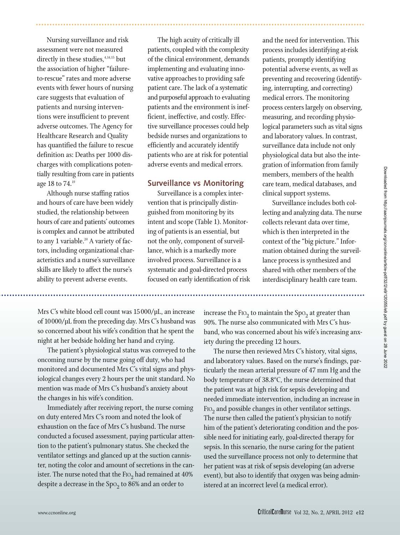Nursing surveillance and risk assessment were not measured directly in these studies,<sup>4,14,15</sup> but the association of higher "failureto-rescue" rates and more adverse events with fewer hours of nursing care suggests that evaluation of patients and nursing interventions were insufficient to prevent adverse outcomes. The Agency for Healthcare Research and Quality has quantified the failure to rescue definition as: Deaths per 1000 discharges with complications potentially resulting from care in patients age 18 to 74.19

Although nurse staffing ratios and hours of care have been widely studied, the relationship between hours of care and patients' outcomes is complex and cannot be attributed to any 1 variable.<sup>20</sup> A variety of factors, including organizational characteristics and a nurse's surveillance skills are likely to affect the nurse's ability to prevent adverse events.

The high acuity of critically ill patients, coupled with the complexity of the clinical environment, demands implementing and evaluating innovative approaches to providing safe patient care. The lack of a systematic and purposeful approach to evaluating patients and the environment is inefficient, ineffective, and costly. Effective surveillance processes could help bedside nurses and organizations to efficiently and accurately identify patients who are at risk for potential adverse events and medical errors.

#### **Surveillance vs Monitoring**

Surveillance is a complex intervention that is principally distinguished from monitoring by its intent and scope (Table 1). Monitoring of patients is an essential, but not the only, component of surveillance, which is a markedly more involved process. Surveillance is a systematic and goal-directed process focused on early identification of risk

and the need for intervention. This process includes identifying at-risk patients, promptly identifying potential adverse events, as well as preventing and recovering (identifying, interrupting, and correcting) medical errors. The monitoring process centers largely on observing, measuring, and recording physiological parameters such as vital signs and laboratory values. In contrast, surveillance data include not only physiological data but also the integration of information from family members, members of the health care team, medical databases, and clinical support systems.

Surveillance includes both collecting and analyzing data. The nurse collects relevant data over time, which is then interpreted in the context of the "big picture." Information obtained during the surveillance process is synthesized and shared with other members of the interdisciplinary health care team.

Mrs C's white blood cell count was 15000/μL, an increase of 10000/μL from the preceding day. Mrs C's husband was so concerned about his wife's condition that he spent the night at her bedside holding her hand and crying.

The patient's physiological status was conveyed to the oncoming nurse by the nurse going off duty, who had monitored and documented Mrs C's vital signs and physiological changes every 2 hours per the unit standard. No mention was made of Mrs C's husband's anxiety about the changes in his wife's condition.

Immediately after receiving report, the nurse coming on duty entered Mrs C's room and noted the look of exhaustion on the face of Mrs C's husband. The nurse conducted a focused assessment, paying particular attention to the patient's pulmonary status. She checked the ventilator settings and glanced up at the suction cannister, noting the color and amount of secretions in the canister. The nurse noted that the FIO<sub>2</sub> had remained at  $40\%$ despite a decrease in the  $Spo<sub>2</sub>$  to 86% and an order to

increase the FIO<sub>2</sub> to maintain the SpO<sub>2</sub> at greater than 90%. The nurse also communicated with Mrs C's husband, who was concerned about his wife's increasing anxiety during the preceding 12 hours.

The nurse then reviewed Mrs C's history, vital signs, and laboratory values. Based on the nurse's findings, particularly the mean arterial pressure of 47 mm Hg and the body temperature of 38.8ºC, the nurse determined that the patient was at high risk for sepsis developing and needed immediate intervention, including an increase in  $FIO<sub>2</sub>$  and possible changes in other ventilator settings. The nurse then called the patient's physician to notify him of the patient's deteriorating condition and the possible need for initiating early, goal-directed therapy for sepsis. In this scenario, the nurse caring for the patient used the surveillance process not only to determine that her patient was at risk of sepsis developing (an adverse event), but also to identify that oxygen was being administered at an incorrect level (a medical error).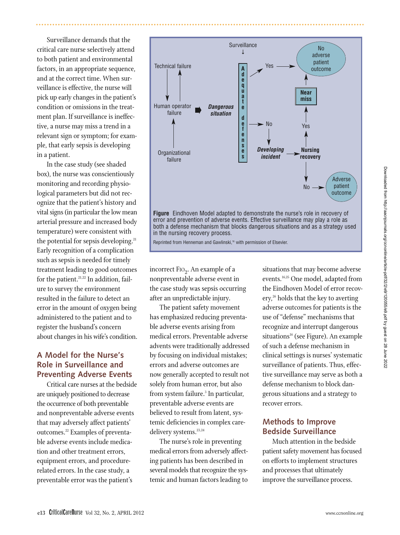Surveillance demands that the critical care nurse selectively attend to both patient and environmental factors, in an appropriate sequence, and at the correct time. When surveillance is effective, the nurse will pick up early changes in the patient's condition or omissions in the treatment plan. If surveillance is ineffective, a nurse may miss a trend in a relevant sign or symptom; for example, that early sepsis is developing in a patient.

In the case study (see shaded box), the nurse was conscientiously monitoring and recording physiological parameters but did not recognize that the patient's history and vital signs (in particular the low mean arterial pressure and increased body temperature) were consistent with the potential for sepsis developing.<sup>21</sup> Early recognition of a complication such as sepsis is needed for timely treatment leading to good outcomes for the patient. $21,22$  In addition, failure to survey the environment resulted in the failure to detect an error in the amount of oxygen being administered to the patient and to register the husband's concern about changes in his wife's condition.

## **A Model for the Nurse's Role in Surveillance and Preventing Adverse Events**

Critical care nurses at the bedside are uniquely positioned to decrease the occurrence of both preventable and nonpreventable adverse events that may adversely affect patients' outcomes.22 Examples of preventable adverse events include medication and other treatment errors, equipment errors, and procedurerelated errors. In the case study, a preventable error was the patient's



Reprinted from Henneman and Gawlinski,<sup>16</sup> with permission of Elsevier.

incorrect FIO<sub>2</sub>. An example of a nonpreventable adverse event in the case study was sepsis occurring after an unpredictable injury.

The patient safety movement has emphasized reducing preventable adverse events arising from medical errors. Preventable adverse advents were traditionally addressed by focusing on individual mistakes; errors and adverse outcomes are now generally accepted to result not solely from human error, but also from system failure.<sup>3</sup> In particular, preventable adverse events are believed to result from latent, systemic deficiencies in complex caredelivery systems.<sup>23,24</sup>

The nurse's role in preventing medical errors from adversely affecting patients has been described in several models that recognize the systemic and human factors leading to situations that may become adverse events.16,25 One model, adapted from the Eindhoven Model of error recov- $\text{ery},^{26}$  holds that the key to averting adverse outcomes for patients is the use of "defense" mechanisms that recognize and interrupt dangerous situations<sup>16</sup> (see Figure). An example of such a defense mechanism in clinical settings is nurses' systematic surveillance of patients. Thus, effective surveillance may serve as both a defense mechanism to block dangerous situations and a strategy to recover errors.

#### **Methods to Improve Bedside Surveillance**

Much attention in the bedside patient safety movement has focused on efforts to implement structures and processes that ultimately improve the surveillance process.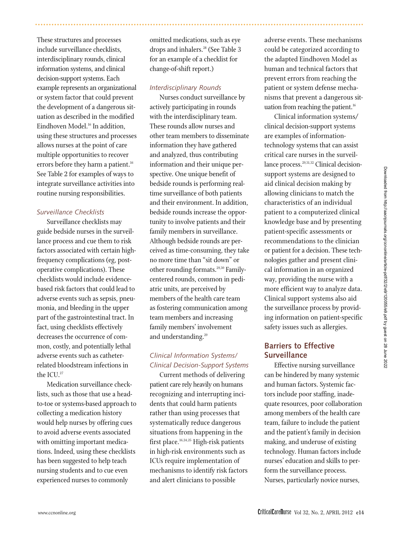These structures and processes include surveillance checklists, inter disciplinary rounds, clinical information systems, and clinical decision-support systems. Each example represents an organizational or system factor that could prevent the development of a dangerous situation as described in the modified Eindhoven Model.<sup>16</sup> In addition, using these structures and processes allows nurses at the point of care multiple opportunities to recover errors before they harm a patient.<sup>16</sup> See Table 2 for examples of ways to integrate surveillance activities into routine nursing responsibilities.

#### *Surveillance Checklists*

Surveillance checklists may guide bedside nurses in the surveillance process and cue them to risk factors associated with certain highfrequency complications (eg, postoperative complications). These checklists would include evidencebased risk factors that could lead to adverse events such as sepsis, pneumonia, and bleeding in the upper part of the gastrointestinal tract. In fact, using checklists effectively decreases the occurrence of common, costly, and potentially lethal adverse events such as catheterrelated bloodstream infections in the ICU.<sup>27</sup>

Medication surveillance checklists, such as those that use a headto-toe or systems-based approach to collecting a medication history would help nurses by offering cues to avoid adverse events associated with omitting important medications. Indeed, using these checklists has been suggested to help teach nursing students and to cue even experienced nurses to commonly

omitted medications, such as eye drops and inhalers.<sup>28</sup> (See Table 3 for an example of a checklist for change-of-shift report.)

#### *Interdisciplinary Rounds*

Nurses conduct surveillance by actively participating in rounds with the interdisciplinary team. These rounds allow nurses and other team members to disseminate information they have gathered and analyzed, thus contributing information and their unique perspective. One unique benefit of bedside rounds is performing realtime surveillance of both patients and their environment. In addition, bedside rounds increase the opportunity to involve patients and their family members in surveillance. Although bedside rounds are perceived as time-consuming, they take no more time than "sit down" or other rounding formats.29,30 Familycentered rounds, common in pediatric units, are perceived by members of the health care team as fostering communication among team members and increasing family members' involvement and understanding.<sup>29</sup>

## *Clinical Information Systems/ Clinical Decision-Support Systems*

Current methods of delivering patient care rely heavily on humans recognizing and interrupting incidents that could harm patients rather than using processes that systematically reduce dangerous situations from happening in the first place.16,24,25 High-risk patients in high-risk environments such as ICUs require implementation of mechanisms to identify risk factors and alert clinicians to possible

adverse events. These mechanisms could be categorized according to the adapted Eindhoven Model as human and technical factors that prevent errors from reaching the patient or system defense mechanisms that prevent a dangerous situation from reaching the patient.<sup>16</sup>

Clinical information systems/ clinical decision-support systems are examples of informationtechnology systems that can assist critical care nurses in the surveillance process.<sup>29,31,32</sup> Clinical decisionsupport systems are designed to aid clinical decision making by allowing clinicians to match the characteristics of an individual patient to a computerized clinical knowledge base and by presenting patient-specific assessments or recommendations to the clinician or patient for a decision. These technologies gather and present clinical information in an organized way, providing the nurse with a more efficient way to analyze data. Clinical support systems also aid the surveillance process by providing information on patient-specific safety issues such as allergies.

# **Barriers to Effective Surveillance**

Effective nursing surveillance can be hindered by many systemic and human factors. Systemic factors include poor staffing, inadequate resources, poor collaboration among members of the health care team, failure to include the patient and the patient's family in decision making, and underuse of existing technology. Human factors include nurses' education and skills to perform the surveillance process. Nurses, particularly novice nurses,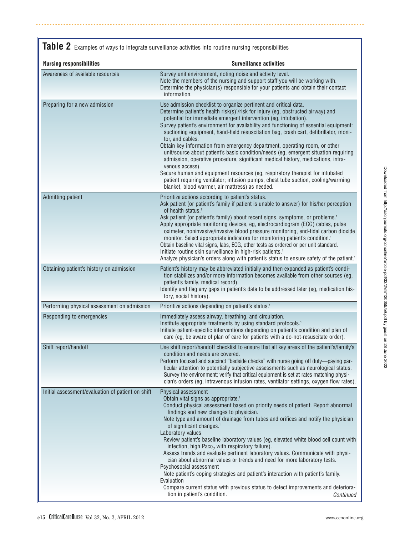**Nursing responsibilities** Awareness of available resources Preparing for a new admission Admitting patient Obtaining patient's history on admission Performing physical assessment on admission Responding to emergencies Shift report/handoff Initial assessment/evaluation of patient on shift **Surveillance activities** Survey unit environment, noting noise and activity level. Note the members of the nursing and support staff you will be working with. Determine the physician(s) responsible for your patients and obtain their contact information. Use admission checklist to organize pertinent and critical data. Determine patient's health risk(s)<sup>1</sup>/risk for injury (eg, obstructed airway) and potential for immediate emergent intervention (eg, intubation). Survey patient's environment for availability and functioning of essential equipment: suctioning equipment, hand-held resuscitation bag, crash cart, defibrillator, monitor, and cables. Obtain key information from emergency department, operating room, or other unit/source about patient's basic condition/needs (eg, emergent situation requiring admission, operative procedure, significant medical history, medications, intravenous access). Secure human and equipment resources (eg, respiratory therapist for intubated patient requiring ventilator; infusion pumps, chest tube suction, cooling/warming blanket, blood warmer, air mattress) as needed. Prioritize actions according to patient's status. Ask patient (or patient's family if patient is unable to answer) for his/her perception of health status.<sup>1</sup> Ask patient (or patient's family) about recent signs, symptoms, or problems.<sup>1</sup> Apply appropriate monitoring devices, eg, electrocardiogram (ECG) cables, pulse oximeter, noninvasive/invasive blood pressure monitoring, end-tidal carbon dioxide monitor. Select appropriate indicators for monitoring patient's condition.<sup>1</sup> Obtain baseline vital signs, labs, ECG, other tests as ordered or per unit standard. Initiate routine skin surveillance in high-risk patients.<sup>1</sup> Analyze physician's orders along with patient's status to ensure safety of the patient.<sup>1</sup> Patient's history may be abbreviated initially and then expanded as patient's condition stabilizes and/or more information becomes available from other sources (eg, patient's family, medical record). Identify and flag any gaps in patient's data to be addressed later (eg, medication history, social history). Prioritize actions depending on patient's status.<sup>1</sup> Immediately assess airway, breathing, and circulation. Institute appropriate treatments by using standard protocols.<sup>1</sup> Initiate patient-specific interventions depending on patient's condition and plan of care (eg, be aware of plan of care for patients with a do-not-resuscitate order). Use shift report/handoff checklist to ensure that all key areas of the patient's/family's condition and needs are covered. Perform focused and succinct "bedside checks" with nurse going off duty—paying particular attention to potentially subjective assessments such as neurological status. Survey the environment; verify that critical equipment is set at rates matching physician's orders (eg, intravenous infusion rates, ventilator settings, oxygen flow rates). Physical assessment Obtain vital signs as appropriate.<sup>1</sup> Conduct physical assessment based on priority needs of patient. Report abnormal findings and new changes to physician. Note type and amount of drainage from tubes and orifices and notify the physician of significant changes.<sup>1</sup> Laboratory values Review patient's baseline laboratory values (eg, elevated white blood cell count with infection, high Paco<sub>2</sub> with respiratory failure). Assess trends and evaluate pertinent laboratory values. Communicate with physician about abnormal values or trends and need for more laboratory tests. Psychosocial assessment Note patient's coping strategies and patient's interaction with patient's family. Evaluation Compare current status with previous status to detect improvements and deterioration in patient's condition. The continued continued continued

Table 2 Examples of ways to integrate surveillance activities into routine nursing responsibilities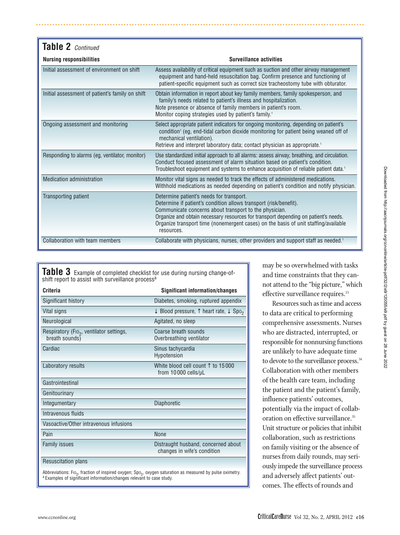| <b>Nursing responsibilities</b>                 | <b>Surveillance activities</b>                                                                                                                                                                                                                                                                                |  |
|-------------------------------------------------|---------------------------------------------------------------------------------------------------------------------------------------------------------------------------------------------------------------------------------------------------------------------------------------------------------------|--|
| Initial assessment of environment on shift      | Assess availability of critical equipment such as suction and other airway management<br>equipment and hand-held resuscitation bag. Confirm presence and functioning of<br>patient-specific equipment such as correct size tracheostomy tube with obturator.                                                  |  |
| Initial assessment of patient's family on shift | Obtain information in report about key family members, family spokesperson, and<br>family's needs related to patient's illness and hospitalization.<br>Note presence or absence of family members in patient's room.<br>Monitor coping strategies used by patient's family. <sup>1</sup>                      |  |
| Ongoing assessment and monitoring               | Select appropriate patient indicators for ongoing monitoring, depending on patient's<br>condition <sup>1</sup> (eg, end-tidal carbon dioxide monitoring for patient being weaned off of<br>mechanical ventilation).<br>Retrieve and interpret laboratory data; contact physician as appropriate. <sup>1</sup> |  |
| Responding to alarms (eg, ventilator, monitor)  | Use standardized initial approach to all alarms: assess airway, breathing, and circulation.<br>Conduct focused assessment of alarm situation based on patient's condition.<br>Troubleshoot equipment and systems to enhance acquisition of reliable patient data. <sup>1</sup>                                |  |
| <b>Medication administration</b>                | Monitor vital signs as needed to track the effects of administered medications.<br>Withhold medications as needed depending on patient's condition and notify physician.                                                                                                                                      |  |
| Transporting patient                            | Determine patient's needs for transport.<br>Determine if patient's condition allows transport (risk/benefit).<br>Communicate concerns about transport to the physician.<br>Organize and obtain necessary resources for transport depending on patient's needs.                                                |  |

resources.

**Table 3** Example of completed checklist for use during nursing change-ofshift report to assist with surveillance process<sup>a</sup>

Collaboration with team members

| <b>Criteria</b>                                                        | <b>Significant information/changes</b>                                            |  |
|------------------------------------------------------------------------|-----------------------------------------------------------------------------------|--|
| Significant history                                                    | Diabetes, smoking, ruptured appendix                                              |  |
| Vital signs                                                            | $\downarrow$ Blood pressure, $\uparrow$ heart rate, $\downarrow$ Spo <sub>2</sub> |  |
| Neurological                                                           | Agitated, no sleep                                                                |  |
| Respiratory (Fio <sub>2</sub> , ventilator settings,<br>breath sounds) | Coarse breath sounds<br>Overbreathing ventilator                                  |  |
| Cardiac                                                                | Sinus tachycardia<br>Hypotension                                                  |  |
| Laboratory results                                                     | White blood cell count 1 to 15000<br>from 10000 cells/µL                          |  |
| Gastrointestinal                                                       |                                                                                   |  |
| Genitourinary                                                          |                                                                                   |  |
| Integumentary                                                          | <b>Diaphoretic</b>                                                                |  |
| Intravenous fluids                                                     |                                                                                   |  |
| Vasoactive/Other intravenous infusions                                 |                                                                                   |  |
| Pain                                                                   | None                                                                              |  |
| <b>Family issues</b>                                                   | Distraught husband, concerned about<br>changes in wife's condition                |  |
| <b>Resuscitation plans</b>                                             |                                                                                   |  |

Abbreviations: Fio<sub>2</sub>, fraction of inspired oxygen; Spo<sub>2</sub>, oxygen saturation as measured by pulse oximetry.<br><sup>a</sup> Examples of significant information/changes relevant to case study.

may be so overwhelmed with tasks and time constraints that they cannot attend to the "big picture," which effective surveillance requires.<sup>33</sup>

Organize transport time (nonemergent cases) on the basis of unit staffing/available

Collaborate with physicians, nurses, other providers and support staff as needed.<sup>1</sup>

Resources such as time and access to data are critical to performing comprehensive assessments. Nurses who are distracted, interrupted, or responsible for nonnursing functions are unlikely to have adequate time to devote to the surveillance process.<sup>34</sup> Collaboration with other members of the health care team, including the patient and the patient's family, influence patients' outcomes, potentially via the impact of collaboration on effective surveillance.<sup>35</sup> Unit structure or policies that inhibit collaboration, such as restrictions on family visiting or the absence of nurses from daily rounds, may seriously impede the surveillance process and adversely affect patients' outcomes. The effects of rounds and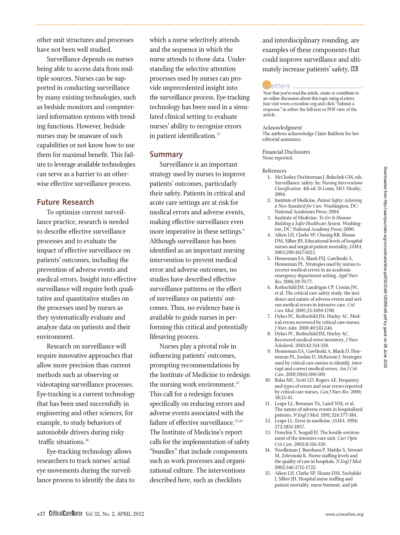other unit structures and processes have not been well studied.

Surveillance depends on nurses being able to access data from multiple sources. Nurses can be supported in conducting surveillance by many existing technologies, such as bedside monitors and computerized information systems with trending functions. However, bedside nurses may be unaware of such capabilities or not know how to use them for maximal benefit. This failure to leverage available technologies can serve as a barrier to an other wise effective surveillance process.

#### **Future Research**

To optimize current surveillance practice, research is needed to describe effective surveillance processes and to evaluate the impact of effective surveillance on patients' outcomes, including the prevention of adverse events and medical errors. Insight into effective surveillance will require both qualitative and quantitative studies on the processes used by nurses as they systematically evaluate and analyze data on patients and their environment.

Research on surveillance will require innovative approaches that allow more precision than current methods such as observing or videotaping surveillance processes. Eye-tracking is a current technology that has been used successfully in engineering and other sciences, for example, to study behaviors of automobile drivers during risky traffic situations.<sup>36</sup>

Eye-tracking technology allows researchers to track nurses' actual eye movements during the surveillance process to identify the data to which a nurse selectively attends and the sequence in which the nurse attends to those data. Understanding the selective attention processes used by nurses can provide unprecedented insight into the surveillance process. Eye-tracking technology has been used in a simulated clinical setting to evaluate nurses' ability to recognize errors in patient identification.<sup>37</sup>

#### **Summary**

Surveillance is an important strategy used by nurses to improve patients' outcomes, particularly their safety. Patients in critical and acute care settings are at risk for medical errors and adverse events, making effective surveillance even more imperative in these settings.<sup>6</sup> Although surveillance has been identified as an important nursing intervention to prevent medical error and adverse outcomes, no studies have described effective surveillance patterns or the effect of surveillance on patients' outcomes. Thus, no evidence base is available to guide nurses in performing this critical and potentially lifesaving process.

Nurses play a pivotal role in influencing patients' outcomes, prompting recommendations by the Institute of Medicine to redesign the nursing work environment.<sup>23</sup> This call for a redesign focuses specifically on reducing errors and adverse events associated with the failure of effective surveillance.<sup>23,24</sup> The Institute of Medicine's report calls for the implementation of safety "bundles" that include components such as work processes and organizational culture. The interventions described here, such as checklists

and interdisciplinary rounding, are examples of these components that could improve surveillance and ultimately increase patients' safety. CCII

# <mark>eL</mark>etters .

Now that you've read the article, create or contribute to an online discussion about this topic using eLetters. Just visit www.ccnonline.org and click "Submit a response" in either the full-text or PDF view of the article.

#### Acknowledgment

The authors acknowledge Claire Baldwin for her editorial assistance.

#### Financial Disclosures None reported.

#### References

- 1. McCloskey Dochterman J, Bulechek GM, eds. Surveillance: safety. In: *Nursing Interventions Classification.* 4th ed. St Louis, MO: Mosby; 2004.
- 2. Institute of Medicine. *Patient Safety: Achieving a New Standard for Care.* Washington, DC: National Academies Press; 2004.
- 3. Institute of Medicine. *To Err Is Human: Building a Safer Healthcare System.* Washington, DC: National Academy Press; 2000.
- 4. Aiken LH, Clarke SP, Cheung RB, Sloane DM, Silber JH. Educational levels of hospital nurses and surgical patient mortality. *JAMA.* 2003;290:1617-1623.
- 5. Henneman EA, Blank FSJ, Gawlinski A, Henneman PL. Strategies used by nurses to recover medical errors in an academic emergency department setting. *Appl Nurs Res.* 2006;19:70-77.
- 6. Rothschild JM, Landrigan CP, Cronin JW, et al. The critical care safety study: the incidence and nature of adverse events and serious medical errors in intensive care. *Crit Care Med.* 2005;33:1694-1700.
- 7. Dykes PC, Rothschild JM, Hurley AC. Medical errors recovered by critical care nurses. *J Nurs Adm.* 2010;40:241-246.
- 8. Dykes PC, Rothschild JM, Hurley AC. Recovered medical error inventory. *J Nurs Scholarsh.* 2010;42:314-318.
- 9. Henneman EA, Gawlinski A, Blank D, Henneman PL, Jordan D, McKenzie J. Strategies used by critical care nurses to identify, interrupt and correct medical errors. *Am J Crit Care.* 2010;19(6):500-509.
- 10. Balas MC, Scott LD, Rogers AE. Frequency and types of errors and near errors reported by critical care nurses. *Can J Nurs Res.* 2006; 38:25-41.
- 11. Leape LL, Brennan TA, Laird NM, et al. The nature of adverse events in hospitalized patients. *N Engl J Med.* 1991;324:377-384.
- 12. Leape LL. Error in medicine. *JAMA.* 1994; 272:1851-1857.
- 13. Donchin Y, Seagull FJ. The hostile environment of the intensive care unit. *Curr Opin Crit Care.* 2002;8:316-320.
- 14. Needleman J, Buerhaus P, Mattke S, Stewart M, Zelevinski K. Nurse-staffing levels and the quality of care in hospitals. *N Engl J Med.* 2002;346:1715-1722.
- 15. Aiken LH, Clarke SP, Sloane DM, Sochalski J, Silber JH. Hospital nurse staffing and patient mortality, nurse burnout, and job

Downloaded from http://aacnjournals.org/ccnonline/article-pdf/32/2/e9/120055/e9.pdf by guest on 28 June 2022

Downloaded from http://aacnjournals.org/ccnonline/article-pdf/32/2/e9/120055/e9.pdf by guest on 28 June 2022